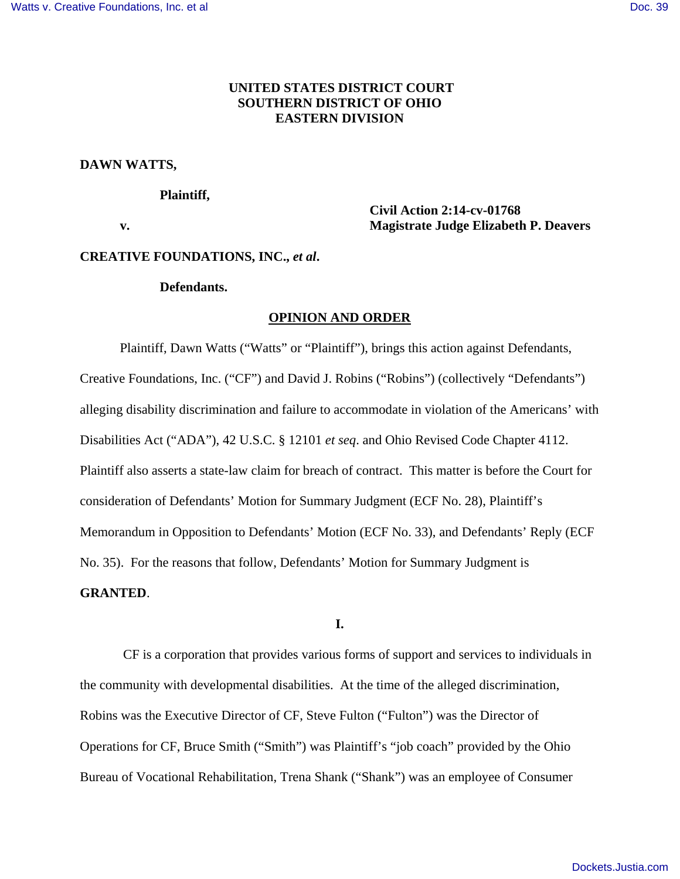# **UNITED STATES DISTRICT COURT SOUTHERN DISTRICT OF OHIO EASTERN DIVISION**

#### **DAWN WATTS,**

#### **Plaintiff,**

 **Civil Action 2:14-cv-01768 v. Magistrate Judge Elizabeth P. Deavers** 

## **CREATIVE FOUNDATIONS, INC.,** *et al***.**

#### **Defendants.**

#### **OPINION AND ORDER**

 Plaintiff, Dawn Watts ("Watts" or "Plaintiff"), brings this action against Defendants, Creative Foundations, Inc. ("CF") and David J. Robins ("Robins") (collectively "Defendants") alleging disability discrimination and failure to accommodate in violation of the Americans' with Disabilities Act ("ADA"), 42 U.S.C. § 12101 *et seq*. and Ohio Revised Code Chapter 4112. Plaintiff also asserts a state-law claim for breach of contract. This matter is before the Court for consideration of Defendants' Motion for Summary Judgment (ECF No. 28), Plaintiff's Memorandum in Opposition to Defendants' Motion (ECF No. 33), and Defendants' Reply (ECF No. 35). For the reasons that follow, Defendants' Motion for Summary Judgment is **GRANTED**.

# **I.**

 CF is a corporation that provides various forms of support and services to individuals in the community with developmental disabilities. At the time of the alleged discrimination, Robins was the Executive Director of CF, Steve Fulton ("Fulton") was the Director of Operations for CF, Bruce Smith ("Smith") was Plaintiff's "job coach" provided by the Ohio Bureau of Vocational Rehabilitation, Trena Shank ("Shank") was an employee of Consumer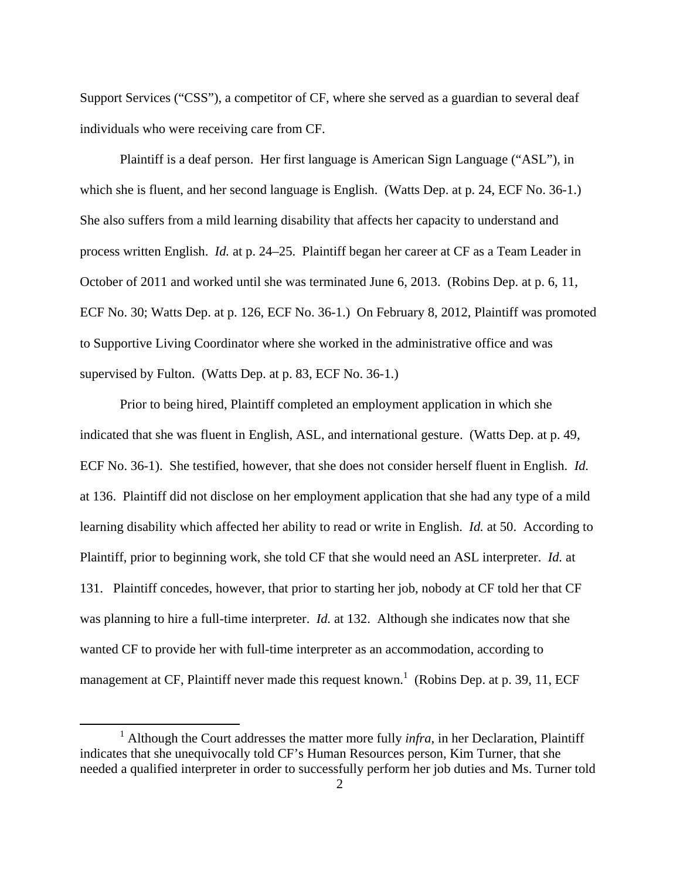Support Services ("CSS"), a competitor of CF, where she served as a guardian to several deaf individuals who were receiving care from CF.

 Plaintiff is a deaf person. Her first language is American Sign Language ("ASL"), in which she is fluent, and her second language is English. (Watts Dep. at p. 24, ECF No. 36-1.) She also suffers from a mild learning disability that affects her capacity to understand and process written English. *Id.* at p. 24–25. Plaintiff began her career at CF as a Team Leader in October of 2011 and worked until she was terminated June 6, 2013. (Robins Dep. at p. 6, 11, ECF No. 30; Watts Dep. at p. 126, ECF No. 36-1.) On February 8, 2012, Plaintiff was promoted to Supportive Living Coordinator where she worked in the administrative office and was supervised by Fulton. (Watts Dep. at p. 83, ECF No. 36-1.)

 Prior to being hired, Plaintiff completed an employment application in which she indicated that she was fluent in English, ASL, and international gesture. (Watts Dep. at p. 49, ECF No. 36-1). She testified, however, that she does not consider herself fluent in English. *Id.* at 136. Plaintiff did not disclose on her employment application that she had any type of a mild learning disability which affected her ability to read or write in English. *Id.* at 50. According to Plaintiff, prior to beginning work, she told CF that she would need an ASL interpreter. *Id.* at 131. Plaintiff concedes, however, that prior to starting her job, nobody at CF told her that CF was planning to hire a full-time interpreter. *Id.* at 132. Although she indicates now that she wanted CF to provide her with full-time interpreter as an accommodation, according to management at CF, Plaintiff never made this request known.<sup>1</sup> (Robins Dep. at p. 39, 11, ECF

<u>.</u>

<sup>&</sup>lt;sup>1</sup> Although the Court addresses the matter more fully *infra*, in her Declaration, Plaintiff indicates that she unequivocally told CF's Human Resources person, Kim Turner, that she needed a qualified interpreter in order to successfully perform her job duties and Ms. Turner told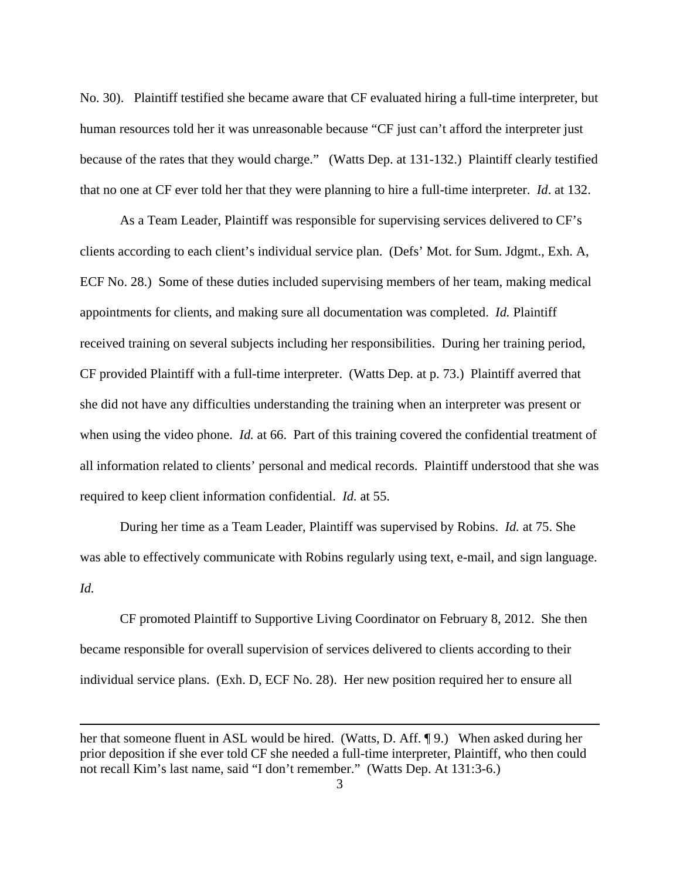No. 30). Plaintiff testified she became aware that CF evaluated hiring a full-time interpreter, but human resources told her it was unreasonable because "CF just can't afford the interpreter just because of the rates that they would charge." (Watts Dep. at 131-132.) Plaintiff clearly testified that no one at CF ever told her that they were planning to hire a full-time interpreter. *Id*. at 132.

 As a Team Leader, Plaintiff was responsible for supervising services delivered to CF's clients according to each client's individual service plan. (Defs' Mot. for Sum. Jdgmt., Exh. A, ECF No. 28.) Some of these duties included supervising members of her team, making medical appointments for clients, and making sure all documentation was completed. *Id.* Plaintiff received training on several subjects including her responsibilities. During her training period, CF provided Plaintiff with a full-time interpreter. (Watts Dep. at p. 73.) Plaintiff averred that she did not have any difficulties understanding the training when an interpreter was present or when using the video phone. *Id.* at 66. Part of this training covered the confidential treatment of all information related to clients' personal and medical records. Plaintiff understood that she was required to keep client information confidential. *Id.* at 55.

 During her time as a Team Leader, Plaintiff was supervised by Robins. *Id.* at 75. She was able to effectively communicate with Robins regularly using text, e-mail, and sign language. *Id.*

 CF promoted Plaintiff to Supportive Living Coordinator on February 8, 2012. She then became responsible for overall supervision of services delivered to clients according to their individual service plans. (Exh. D, ECF No. 28). Her new position required her to ensure all

 $\overline{a}$ 

her that someone fluent in ASL would be hired. (Watts, D. Aff. ¶ 9.) When asked during her prior deposition if she ever told CF she needed a full-time interpreter, Plaintiff, who then could not recall Kim's last name, said "I don't remember." (Watts Dep. At 131:3-6.)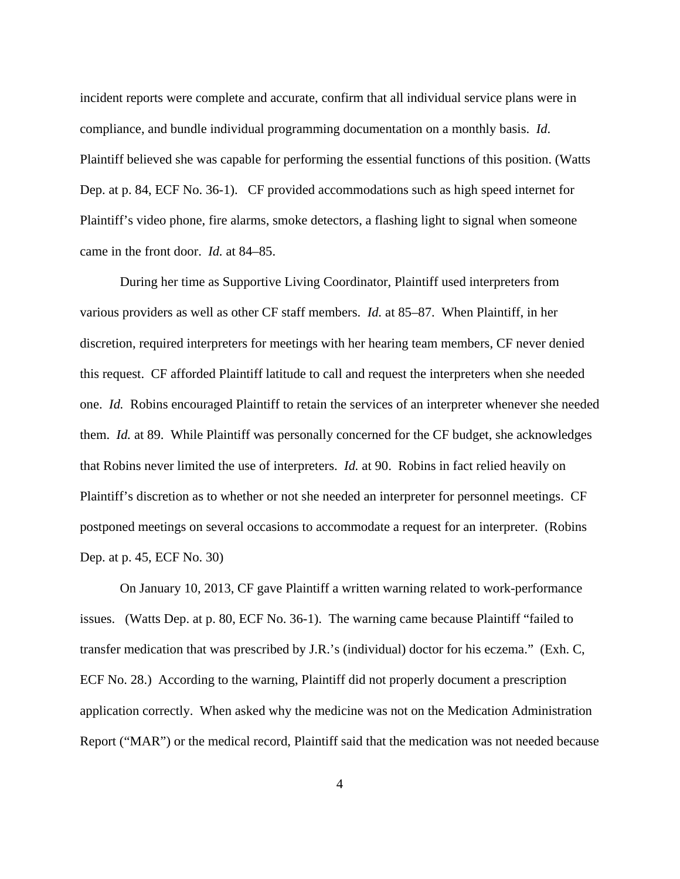incident reports were complete and accurate, confirm that all individual service plans were in compliance, and bundle individual programming documentation on a monthly basis. *Id*. Plaintiff believed she was capable for performing the essential functions of this position. (Watts Dep. at p. 84, ECF No. 36-1). CF provided accommodations such as high speed internet for Plaintiff's video phone, fire alarms, smoke detectors, a flashing light to signal when someone came in the front door. *Id.* at 84–85.

 During her time as Supportive Living Coordinator, Plaintiff used interpreters from various providers as well as other CF staff members. *Id.* at 85–87. When Plaintiff, in her discretion, required interpreters for meetings with her hearing team members, CF never denied this request. CF afforded Plaintiff latitude to call and request the interpreters when she needed one. *Id.* Robins encouraged Plaintiff to retain the services of an interpreter whenever she needed them. *Id.* at 89. While Plaintiff was personally concerned for the CF budget, she acknowledges that Robins never limited the use of interpreters. *Id.* at 90. Robins in fact relied heavily on Plaintiff's discretion as to whether or not she needed an interpreter for personnel meetings. CF postponed meetings on several occasions to accommodate a request for an interpreter. (Robins Dep. at p. 45, ECF No. 30)

 On January 10, 2013, CF gave Plaintiff a written warning related to work-performance issues. (Watts Dep. at p. 80, ECF No. 36-1). The warning came because Plaintiff "failed to transfer medication that was prescribed by J.R.'s (individual) doctor for his eczema." (Exh. C, ECF No. 28.) According to the warning, Plaintiff did not properly document a prescription application correctly. When asked why the medicine was not on the Medication Administration Report ("MAR") or the medical record, Plaintiff said that the medication was not needed because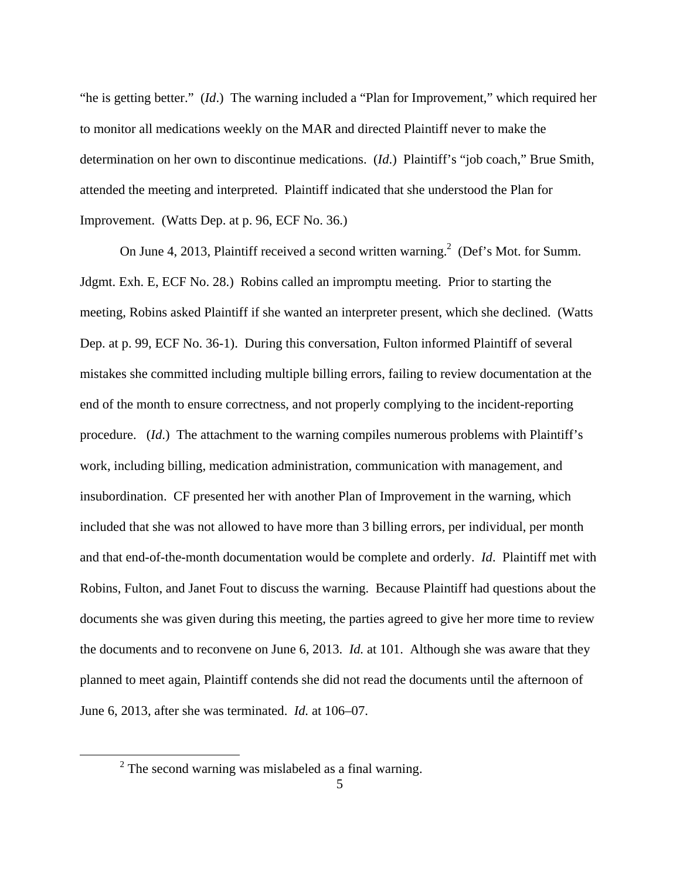"he is getting better." (*Id*.) The warning included a "Plan for Improvement," which required her to monitor all medications weekly on the MAR and directed Plaintiff never to make the determination on her own to discontinue medications. (*Id*.) Plaintiff's "job coach," Brue Smith, attended the meeting and interpreted. Plaintiff indicated that she understood the Plan for Improvement. (Watts Dep. at p. 96, ECF No. 36.)

On June 4, 2013, Plaintiff received a second written warning.<sup>2</sup> (Def's Mot. for Summ. Jdgmt. Exh. E, ECF No. 28.) Robins called an impromptu meeting. Prior to starting the meeting, Robins asked Plaintiff if she wanted an interpreter present, which she declined. (Watts Dep. at p. 99, ECF No. 36-1). During this conversation, Fulton informed Plaintiff of several mistakes she committed including multiple billing errors, failing to review documentation at the end of the month to ensure correctness, and not properly complying to the incident-reporting procedure. (*Id*.) The attachment to the warning compiles numerous problems with Plaintiff's work, including billing, medication administration, communication with management, and insubordination. CF presented her with another Plan of Improvement in the warning, which included that she was not allowed to have more than 3 billing errors, per individual, per month and that end-of-the-month documentation would be complete and orderly. *Id*. Plaintiff met with Robins, Fulton, and Janet Fout to discuss the warning. Because Plaintiff had questions about the documents she was given during this meeting, the parties agreed to give her more time to review the documents and to reconvene on June 6, 2013. *Id.* at 101. Although she was aware that they planned to meet again, Plaintiff contends she did not read the documents until the afternoon of June 6, 2013, after she was terminated. *Id.* at 106–07.

<u>.</u>

 $2$  The second warning was mislabeled as a final warning.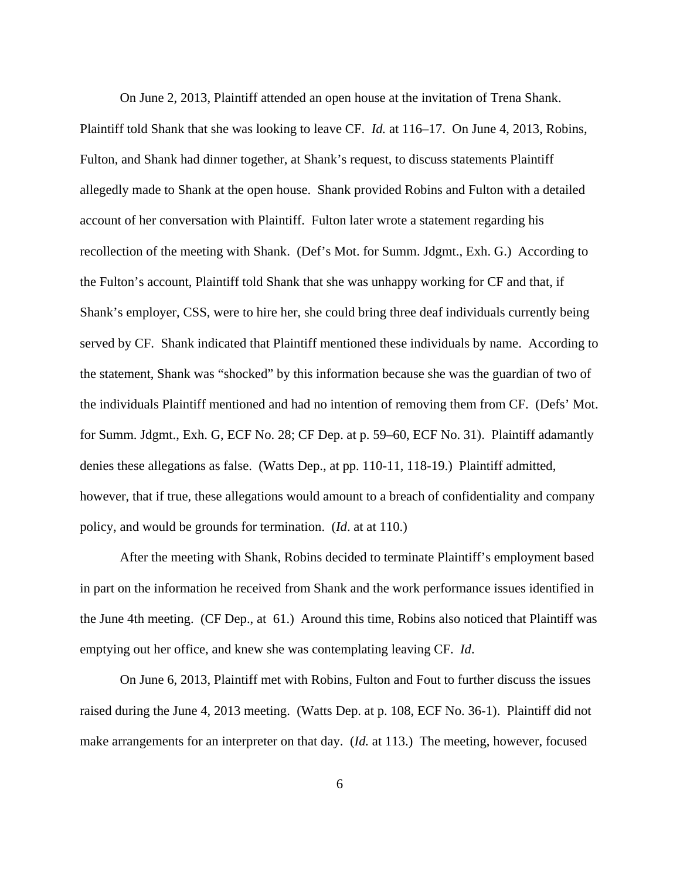On June 2, 2013, Plaintiff attended an open house at the invitation of Trena Shank. Plaintiff told Shank that she was looking to leave CF. *Id.* at 116–17. On June 4, 2013, Robins, Fulton, and Shank had dinner together, at Shank's request, to discuss statements Plaintiff allegedly made to Shank at the open house. Shank provided Robins and Fulton with a detailed account of her conversation with Plaintiff. Fulton later wrote a statement regarding his recollection of the meeting with Shank. (Def's Mot. for Summ. Jdgmt., Exh. G.) According to the Fulton's account, Plaintiff told Shank that she was unhappy working for CF and that, if Shank's employer, CSS, were to hire her, she could bring three deaf individuals currently being served by CF. Shank indicated that Plaintiff mentioned these individuals by name. According to the statement, Shank was "shocked" by this information because she was the guardian of two of the individuals Plaintiff mentioned and had no intention of removing them from CF. (Defs' Mot. for Summ. Jdgmt., Exh. G, ECF No. 28; CF Dep. at p. 59–60, ECF No. 31). Plaintiff adamantly denies these allegations as false. (Watts Dep., at pp. 110-11, 118-19.) Plaintiff admitted, however, that if true, these allegations would amount to a breach of confidentiality and company policy, and would be grounds for termination. (*Id*. at at 110.)

 After the meeting with Shank, Robins decided to terminate Plaintiff's employment based in part on the information he received from Shank and the work performance issues identified in the June 4th meeting. (CF Dep., at 61.) Around this time, Robins also noticed that Plaintiff was emptying out her office, and knew she was contemplating leaving CF. *Id*.

 On June 6, 2013, Plaintiff met with Robins, Fulton and Fout to further discuss the issues raised during the June 4, 2013 meeting. (Watts Dep. at p. 108, ECF No. 36-1). Plaintiff did not make arrangements for an interpreter on that day. (*Id.* at 113.) The meeting, however, focused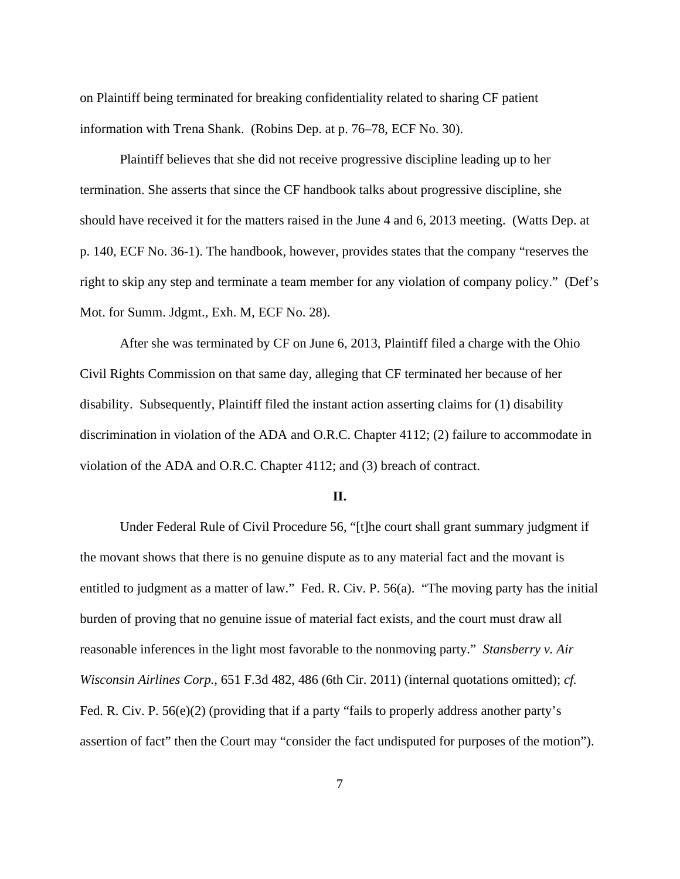on Plaintiff being terminated for breaking confidentiality related to sharing CF patient information with Trena Shank. (Robins Dep. at p. 76–78, ECF No. 30).

 Plaintiff believes that she did not receive progressive discipline leading up to her termination. She asserts that since the CF handbook talks about progressive discipline, she should have received it for the matters raised in the June 4 and 6, 2013 meeting. (Watts Dep. at p. 140, ECF No. 36-1). The handbook, however, provides states that the company "reserves the right to skip any step and terminate a team member for any violation of company policy." (Def's Mot. for Summ. Jdgmt., Exh. M, ECF No. 28).

 After she was terminated by CF on June 6, 2013, Plaintiff filed a charge with the Ohio Civil Rights Commission on that same day, alleging that CF terminated her because of her disability. Subsequently, Plaintiff filed the instant action asserting claims for (1) disability discrimination in violation of the ADA and O.R.C. Chapter 4112; (2) failure to accommodate in violation of the ADA and O.R.C. Chapter 4112; and (3) breach of contract.

## **II.**

Under Federal Rule of Civil Procedure 56, "[t]he court shall grant summary judgment if the movant shows that there is no genuine dispute as to any material fact and the movant is entitled to judgment as a matter of law." Fed. R. Civ. P. 56(a). "The moving party has the initial burden of proving that no genuine issue of material fact exists, and the court must draw all reasonable inferences in the light most favorable to the nonmoving party." *Stansberry v. Air Wisconsin Airlines Corp.*, 651 F.3d 482, 486 (6th Cir. 2011) (internal quotations omitted); *cf.*  Fed. R. Civ. P. 56(e)(2) (providing that if a party "fails to properly address another party's assertion of fact" then the Court may "consider the fact undisputed for purposes of the motion").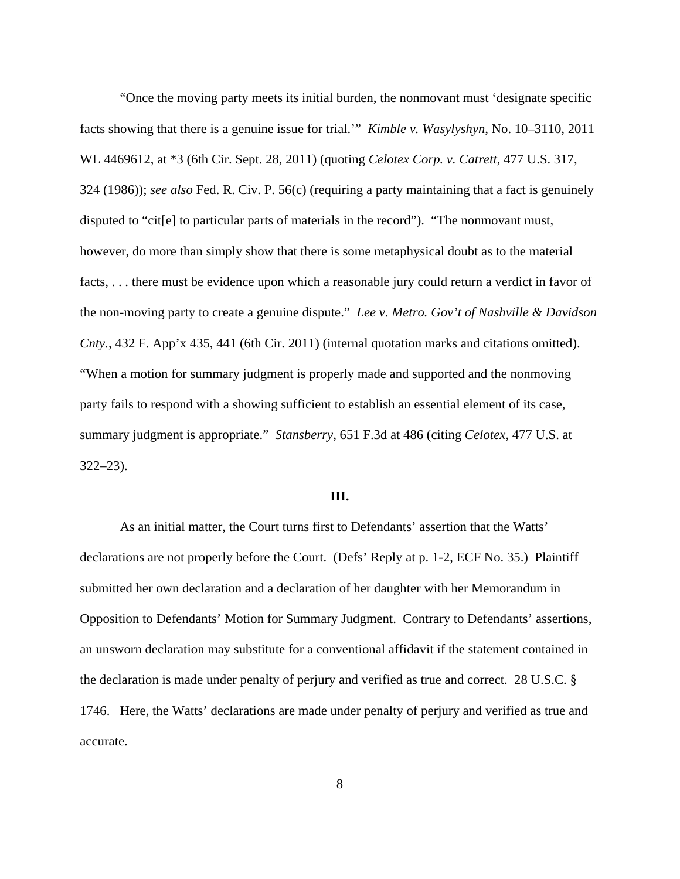"Once the moving party meets its initial burden, the nonmovant must 'designate specific facts showing that there is a genuine issue for trial.'" *Kimble v. Wasylyshyn*, No. 10–3110, 2011 WL 4469612, at \*3 (6th Cir. Sept. 28, 2011) (quoting *Celotex Corp. v. Catrett*, 477 U.S. 317, 324 (1986)); *see also* Fed. R. Civ. P. 56(c) (requiring a party maintaining that a fact is genuinely disputed to "cit[e] to particular parts of materials in the record"). "The nonmovant must, however, do more than simply show that there is some metaphysical doubt as to the material facts, . . . there must be evidence upon which a reasonable jury could return a verdict in favor of the non-moving party to create a genuine dispute." *Lee v. Metro. Gov't of Nashville & Davidson Cnty.*, 432 F. App'x 435, 441 (6th Cir. 2011) (internal quotation marks and citations omitted). "When a motion for summary judgment is properly made and supported and the nonmoving party fails to respond with a showing sufficient to establish an essential element of its case, summary judgment is appropriate." *Stansberry*, 651 F.3d at 486 (citing *Celotex*, 477 U.S. at 322–23).

## **III.**

As an initial matter, the Court turns first to Defendants' assertion that the Watts' declarations are not properly before the Court. (Defs' Reply at p. 1-2, ECF No. 35.) Plaintiff submitted her own declaration and a declaration of her daughter with her Memorandum in Opposition to Defendants' Motion for Summary Judgment. Contrary to Defendants' assertions, an unsworn declaration may substitute for a conventional affidavit if the statement contained in the declaration is made under penalty of perjury and verified as true and correct. 28 U.S.C. § 1746. Here, the Watts' declarations are made under penalty of perjury and verified as true and accurate.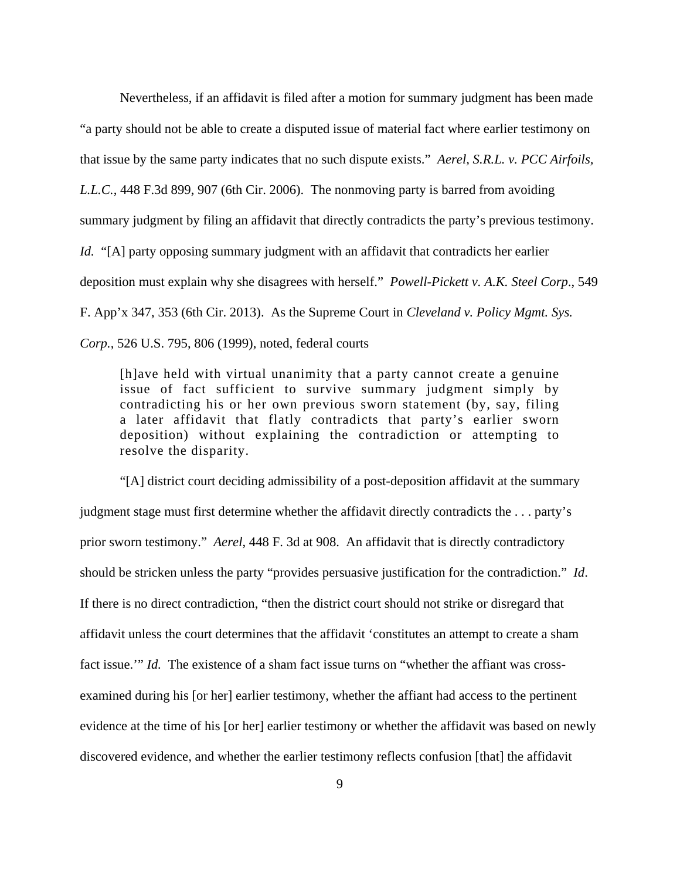Nevertheless, if an affidavit is filed after a motion for summary judgment has been made "a party should not be able to create a disputed issue of material fact where earlier testimony on that issue by the same party indicates that no such dispute exists." *Aerel, S.R.L. v. PCC Airfoils, L.L.C.*, 448 F.3d 899, 907 (6th Cir. 2006). The nonmoving party is barred from avoiding summary judgment by filing an affidavit that directly contradicts the party's previous testimony. *Id.* "[A] party opposing summary judgment with an affidavit that contradicts her earlier deposition must explain why she disagrees with herself." *Powell-Pickett v. A.K. Steel Corp*., 549 F. App'x 347, 353 (6th Cir. 2013). As the Supreme Court in *Cleveland v. Policy Mgmt. Sys. Corp.*, 526 U.S. 795, 806 (1999), noted, federal courts

[h]ave held with virtual unanimity that a party cannot create a genuine issue of fact sufficient to survive summary judgment simply by contradicting his or her own previous sworn statement (by, say, filing a later affidavit that flatly contradicts that party's earlier sworn deposition) without explaining the contradiction or attempting to resolve the disparity.

 "[A] district court deciding admissibility of a post-deposition affidavit at the summary judgment stage must first determine whether the affidavit directly contradicts the . . . party's prior sworn testimony." *Aerel*, 448 F. 3d at 908. An affidavit that is directly contradictory should be stricken unless the party "provides persuasive justification for the contradiction." *Id*. If there is no direct contradiction, "then the district court should not strike or disregard that affidavit unless the court determines that the affidavit 'constitutes an attempt to create a sham fact issue."" *Id.* The existence of a sham fact issue turns on "whether the affiant was crossexamined during his [or her] earlier testimony, whether the affiant had access to the pertinent evidence at the time of his [or her] earlier testimony or whether the affidavit was based on newly discovered evidence, and whether the earlier testimony reflects confusion [that] the affidavit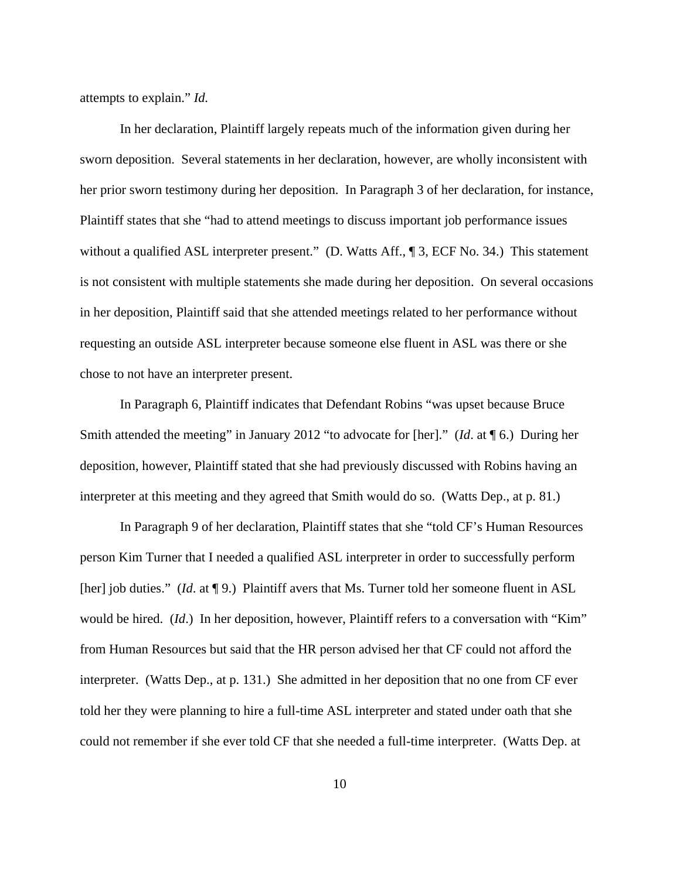attempts to explain." *Id.*

 In her declaration, Plaintiff largely repeats much of the information given during her sworn deposition. Several statements in her declaration, however, are wholly inconsistent with her prior sworn testimony during her deposition. In Paragraph 3 of her declaration, for instance, Plaintiff states that she "had to attend meetings to discuss important job performance issues without a qualified ASL interpreter present." (D. Watts Aff., ¶ 3, ECF No. 34.) This statement is not consistent with multiple statements she made during her deposition. On several occasions in her deposition, Plaintiff said that she attended meetings related to her performance without requesting an outside ASL interpreter because someone else fluent in ASL was there or she chose to not have an interpreter present.

 In Paragraph 6, Plaintiff indicates that Defendant Robins "was upset because Bruce Smith attended the meeting" in January 2012 "to advocate for [her]." (*Id*. at ¶ 6.) During her deposition, however, Plaintiff stated that she had previously discussed with Robins having an interpreter at this meeting and they agreed that Smith would do so. (Watts Dep., at p. 81.)

 In Paragraph 9 of her declaration, Plaintiff states that she "told CF's Human Resources person Kim Turner that I needed a qualified ASL interpreter in order to successfully perform [her] job duties." (*Id.* at ¶ 9.) Plaintiff avers that Ms. Turner told her someone fluent in ASL would be hired. (*Id*.) In her deposition, however, Plaintiff refers to a conversation with "Kim" from Human Resources but said that the HR person advised her that CF could not afford the interpreter. (Watts Dep., at p. 131.) She admitted in her deposition that no one from CF ever told her they were planning to hire a full-time ASL interpreter and stated under oath that she could not remember if she ever told CF that she needed a full-time interpreter. (Watts Dep. at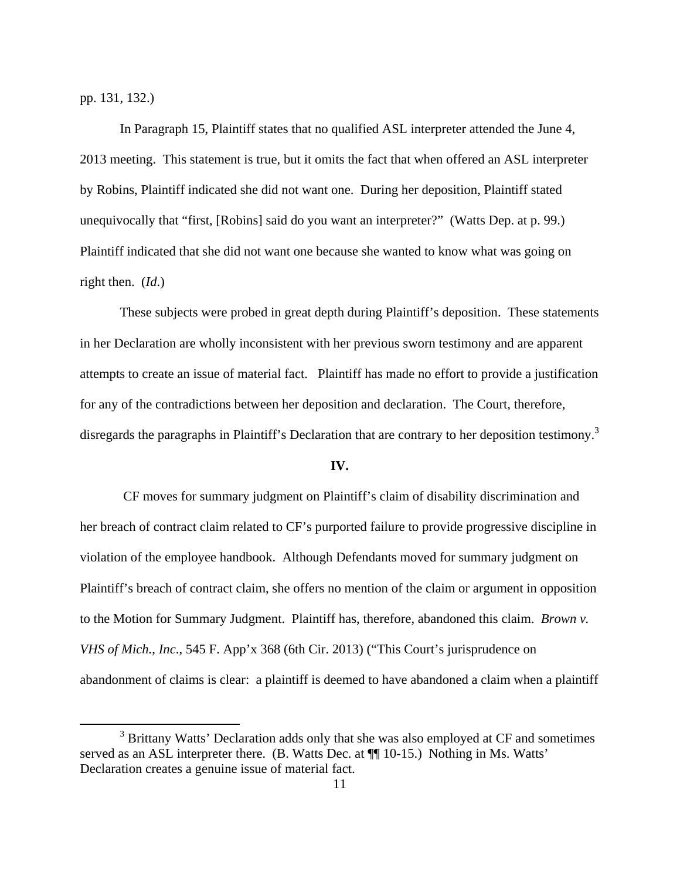pp. 131, 132.)

 $\overline{a}$ 

 In Paragraph 15, Plaintiff states that no qualified ASL interpreter attended the June 4, 2013 meeting. This statement is true, but it omits the fact that when offered an ASL interpreter by Robins, Plaintiff indicated she did not want one. During her deposition, Plaintiff stated unequivocally that "first, [Robins] said do you want an interpreter?" (Watts Dep. at p. 99.) Plaintiff indicated that she did not want one because she wanted to know what was going on right then. (*Id*.)

 These subjects were probed in great depth during Plaintiff's deposition. These statements in her Declaration are wholly inconsistent with her previous sworn testimony and are apparent attempts to create an issue of material fact. Plaintiff has made no effort to provide a justification for any of the contradictions between her deposition and declaration. The Court, therefore, disregards the paragraphs in Plaintiff's Declaration that are contrary to her deposition testimony.<sup>3</sup>

# **IV.**

 CF moves for summary judgment on Plaintiff's claim of disability discrimination and her breach of contract claim related to CF's purported failure to provide progressive discipline in violation of the employee handbook. Although Defendants moved for summary judgment on Plaintiff's breach of contract claim, she offers no mention of the claim or argument in opposition to the Motion for Summary Judgment. Plaintiff has, therefore, abandoned this claim. *Brown v. VHS of Mich., Inc*., 545 F. App'x 368 (6th Cir. 2013) ("This Court's jurisprudence on abandonment of claims is clear: a plaintiff is deemed to have abandoned a claim when a plaintiff

<sup>&</sup>lt;sup>3</sup> Brittany Watts' Declaration adds only that she was also employed at CF and sometimes served as an ASL interpreter there. (B. Watts Dec. at  $\P\P$  10-15.) Nothing in Ms. Watts' Declaration creates a genuine issue of material fact.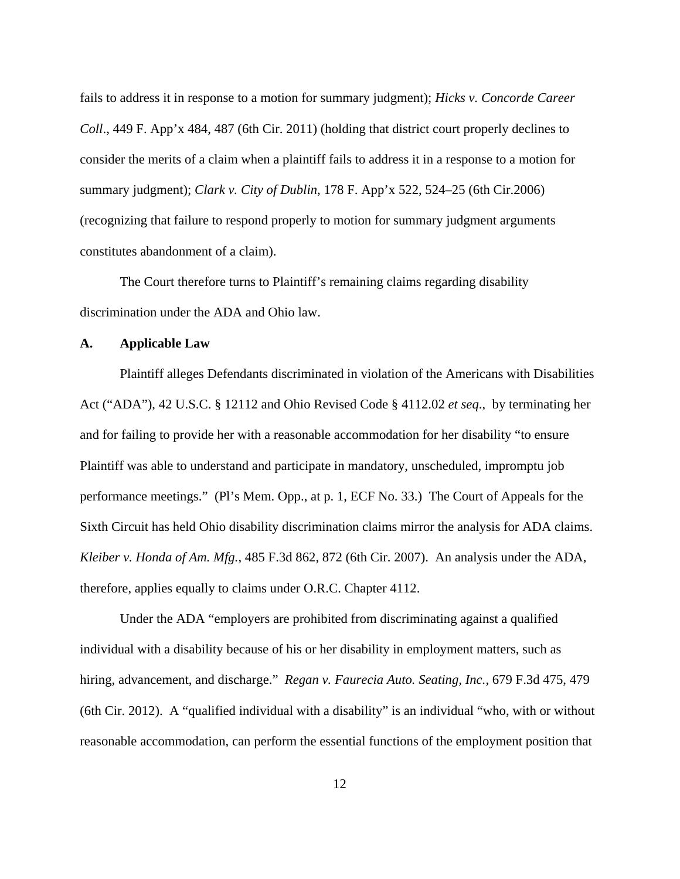fails to address it in response to a motion for summary judgment); *Hicks v. Concorde Career Coll*., 449 F. App'x 484, 487 (6th Cir. 2011) (holding that district court properly declines to consider the merits of a claim when a plaintiff fails to address it in a response to a motion for summary judgment); *Clark v. City of Dublin*, 178 F. App'x 522, 524–25 (6th Cir.2006) (recognizing that failure to respond properly to motion for summary judgment arguments constitutes abandonment of a claim).

 The Court therefore turns to Plaintiff's remaining claims regarding disability discrimination under the ADA and Ohio law.

## **A. Applicable Law**

 Plaintiff alleges Defendants discriminated in violation of the Americans with Disabilities Act ("ADA"), 42 U.S.C. § 12112 and Ohio Revised Code § 4112.02 *et seq*., by terminating her and for failing to provide her with a reasonable accommodation for her disability "to ensure Plaintiff was able to understand and participate in mandatory, unscheduled, impromptu job performance meetings." (Pl's Mem. Opp., at p. 1, ECF No. 33.) The Court of Appeals for the Sixth Circuit has held Ohio disability discrimination claims mirror the analysis for ADA claims. *Kleiber v. Honda of Am. Mfg.*, 485 F.3d 862, 872 (6th Cir. 2007). An analysis under the ADA, therefore, applies equally to claims under O.R.C. Chapter 4112.

 Under the ADA "employers are prohibited from discriminating against a qualified individual with a disability because of his or her disability in employment matters, such as hiring, advancement, and discharge." *Regan v. Faurecia Auto. Seating, Inc.*, 679 F.3d 475, 479 (6th Cir. 2012). A "qualified individual with a disability" is an individual "who, with or without reasonable accommodation, can perform the essential functions of the employment position that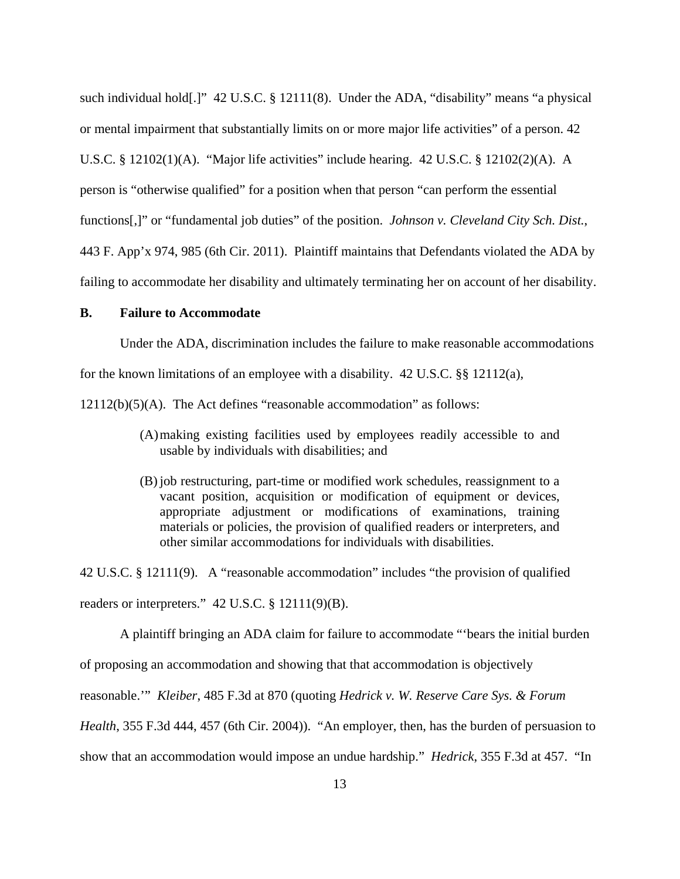such individual hold[.]" 42 U.S.C. § 12111(8). Under the ADA, "disability" means "a physical or mental impairment that substantially limits on or more major life activities" of a person. 42 U.S.C. § 12102(1)(A). "Major life activities" include hearing. 42 U.S.C. § 12102(2)(A). A person is "otherwise qualified" for a position when that person "can perform the essential functions[,]" or "fundamental job duties" of the position. *Johnson v. Cleveland City Sch. Dist.*, 443 F. App'x 974, 985 (6th Cir. 2011). Plaintiff maintains that Defendants violated the ADA by failing to accommodate her disability and ultimately terminating her on account of her disability.

# **B. Failure to Accommodate**

Under the ADA, discrimination includes the failure to make reasonable accommodations for the known limitations of an employee with a disability. 42 U.S.C. §§ 12112(a),

12112(b)(5)(A). The Act defines "reasonable accommodation" as follows:

- (A)making existing facilities used by employees readily accessible to and usable by individuals with disabilities; and
- (B) job restructuring, part-time or modified work schedules, reassignment to a vacant position, acquisition or modification of equipment or devices, appropriate adjustment or modifications of examinations, training materials or policies, the provision of qualified readers or interpreters, and other similar accommodations for individuals with disabilities.

42 U.S.C. § 12111(9). A "reasonable accommodation" includes "the provision of qualified readers or interpreters." 42 U.S.C. § 12111(9)(B).

 A plaintiff bringing an ADA claim for failure to accommodate "'bears the initial burden of proposing an accommodation and showing that that accommodation is objectively reasonable.'" *Kleiber*, 485 F.3d at 870 (quoting *Hedrick v. W. Reserve Care Sys. & Forum Health*, 355 F.3d 444, 457 (6th Cir. 2004)). "An employer, then, has the burden of persuasion to

show that an accommodation would impose an undue hardship." *Hedrick*, 355 F.3d at 457. "In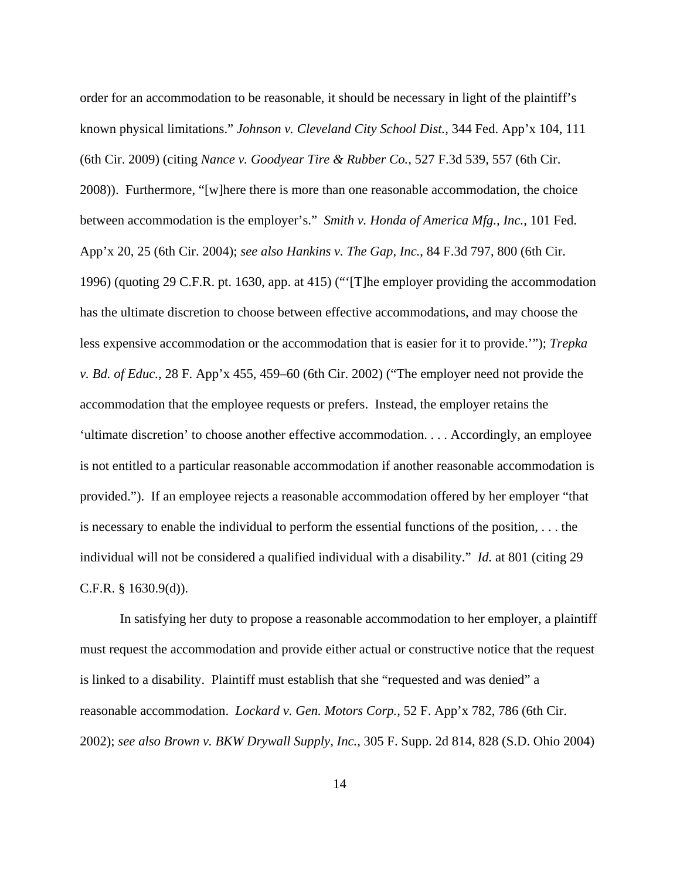order for an accommodation to be reasonable, it should be necessary in light of the plaintiff's known physical limitations." *Johnson v. Cleveland City School Dist.*, 344 Fed. App'x 104, 111 (6th Cir. 2009) (citing *Nance v. Goodyear Tire & Rubber Co.*, 527 F.3d 539, 557 (6th Cir. 2008)). Furthermore, "[w]here there is more than one reasonable accommodation, the choice between accommodation is the employer's." *Smith v. Honda of America Mfg., Inc.*, 101 Fed. App'x 20, 25 (6th Cir. 2004); *see also Hankins v. The Gap, Inc.*, 84 F.3d 797, 800 (6th Cir. 1996) (quoting 29 C.F.R. pt. 1630, app. at 415) ("'[T]he employer providing the accommodation has the ultimate discretion to choose between effective accommodations, and may choose the less expensive accommodation or the accommodation that is easier for it to provide.'"); *Trepka v. Bd. of Educ.,* 28 F. App'x 455, 459–60 (6th Cir. 2002) ("The employer need not provide the accommodation that the employee requests or prefers. Instead, the employer retains the 'ultimate discretion' to choose another effective accommodation. . . . Accordingly, an employee is not entitled to a particular reasonable accommodation if another reasonable accommodation is provided."). If an employee rejects a reasonable accommodation offered by her employer "that is necessary to enable the individual to perform the essential functions of the position, . . . the individual will not be considered a qualified individual with a disability." *Id.* at 801 (citing 29 C.F.R. § 1630.9(d)).

 In satisfying her duty to propose a reasonable accommodation to her employer, a plaintiff must request the accommodation and provide either actual or constructive notice that the request is linked to a disability. Plaintiff must establish that she "requested and was denied" a reasonable accommodation. *Lockard v. Gen. Motors Corp.*, 52 F. App'x 782, 786 (6th Cir. 2002); *see also Brown v. BKW Drywall Supply, Inc.*, 305 F. Supp. 2d 814, 828 (S.D. Ohio 2004)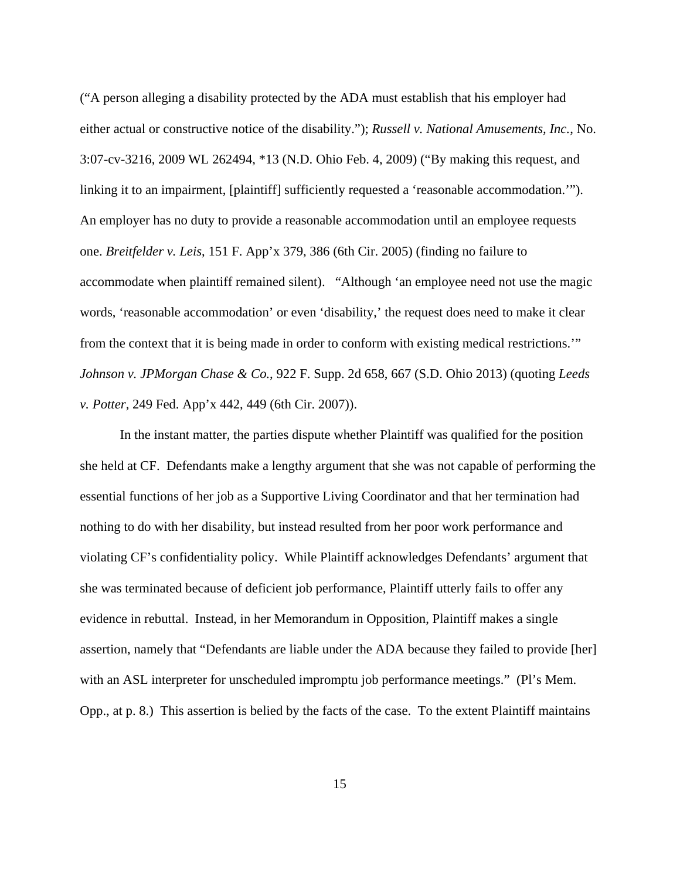("A person alleging a disability protected by the ADA must establish that his employer had either actual or constructive notice of the disability."); *Russell v. National Amusements, Inc.*, No. 3:07-cv-3216, 2009 WL 262494, \*13 (N.D. Ohio Feb. 4, 2009) ("By making this request, and linking it to an impairment, [plaintiff] sufficiently requested a 'reasonable accommodation.'"). An employer has no duty to provide a reasonable accommodation until an employee requests one. *Breitfelder v. Leis*, 151 F. App'x 379, 386 (6th Cir. 2005) (finding no failure to accommodate when plaintiff remained silent). "Although 'an employee need not use the magic words, 'reasonable accommodation' or even 'disability,' the request does need to make it clear from the context that it is being made in order to conform with existing medical restrictions.'" *Johnson v. JPMorgan Chase & Co.*, 922 F. Supp. 2d 658, 667 (S.D. Ohio 2013) (quoting *Leeds v. Potter*, 249 Fed. App'x 442, 449 (6th Cir. 2007)).

In the instant matter, the parties dispute whether Plaintiff was qualified for the position she held at CF. Defendants make a lengthy argument that she was not capable of performing the essential functions of her job as a Supportive Living Coordinator and that her termination had nothing to do with her disability, but instead resulted from her poor work performance and violating CF's confidentiality policy. While Plaintiff acknowledges Defendants' argument that she was terminated because of deficient job performance, Plaintiff utterly fails to offer any evidence in rebuttal. Instead, in her Memorandum in Opposition, Plaintiff makes a single assertion, namely that "Defendants are liable under the ADA because they failed to provide [her] with an ASL interpreter for unscheduled impromptu job performance meetings." (Pl's Mem. Opp., at p. 8.) This assertion is belied by the facts of the case. To the extent Plaintiff maintains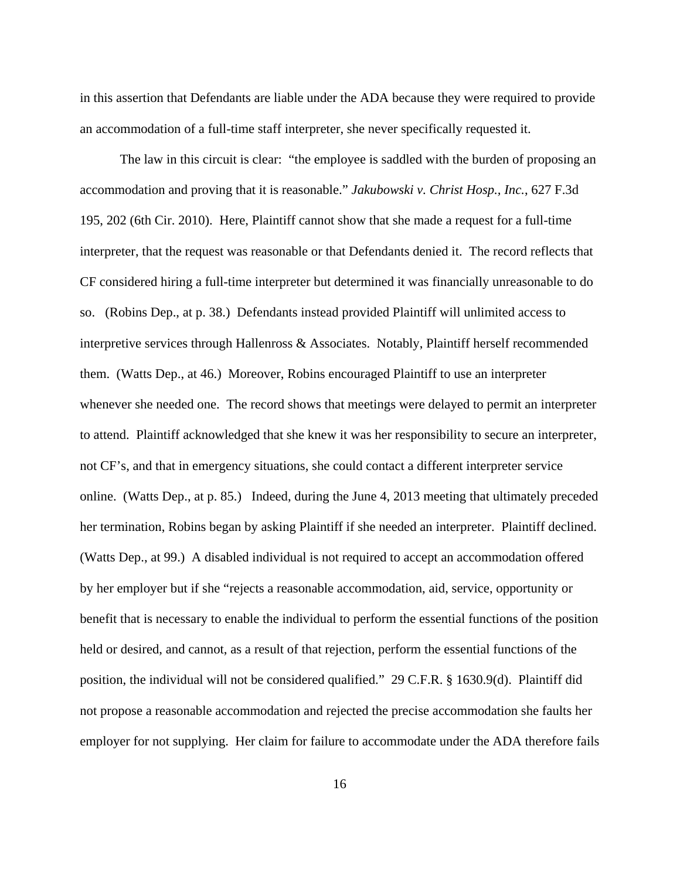in this assertion that Defendants are liable under the ADA because they were required to provide an accommodation of a full-time staff interpreter, she never specifically requested it.

The law in this circuit is clear: "the employee is saddled with the burden of proposing an accommodation and proving that it is reasonable." *Jakubowski v. Christ Hosp., Inc.*, 627 F.3d 195, 202 (6th Cir. 2010). Here, Plaintiff cannot show that she made a request for a full-time interpreter, that the request was reasonable or that Defendants denied it. The record reflects that CF considered hiring a full-time interpreter but determined it was financially unreasonable to do so. (Robins Dep., at p. 38.) Defendants instead provided Plaintiff will unlimited access to interpretive services through Hallenross & Associates. Notably, Plaintiff herself recommended them. (Watts Dep., at 46.) Moreover, Robins encouraged Plaintiff to use an interpreter whenever she needed one. The record shows that meetings were delayed to permit an interpreter to attend. Plaintiff acknowledged that she knew it was her responsibility to secure an interpreter, not CF's, and that in emergency situations, she could contact a different interpreter service online. (Watts Dep., at p. 85.) Indeed, during the June 4, 2013 meeting that ultimately preceded her termination, Robins began by asking Plaintiff if she needed an interpreter. Plaintiff declined. (Watts Dep., at 99.) A disabled individual is not required to accept an accommodation offered by her employer but if she "rejects a reasonable accommodation, aid, service, opportunity or benefit that is necessary to enable the individual to perform the essential functions of the position held or desired, and cannot, as a result of that rejection, perform the essential functions of the position, the individual will not be considered qualified." 29 C.F.R. § 1630.9(d). Plaintiff did not propose a reasonable accommodation and rejected the precise accommodation she faults her employer for not supplying. Her claim for failure to accommodate under the ADA therefore fails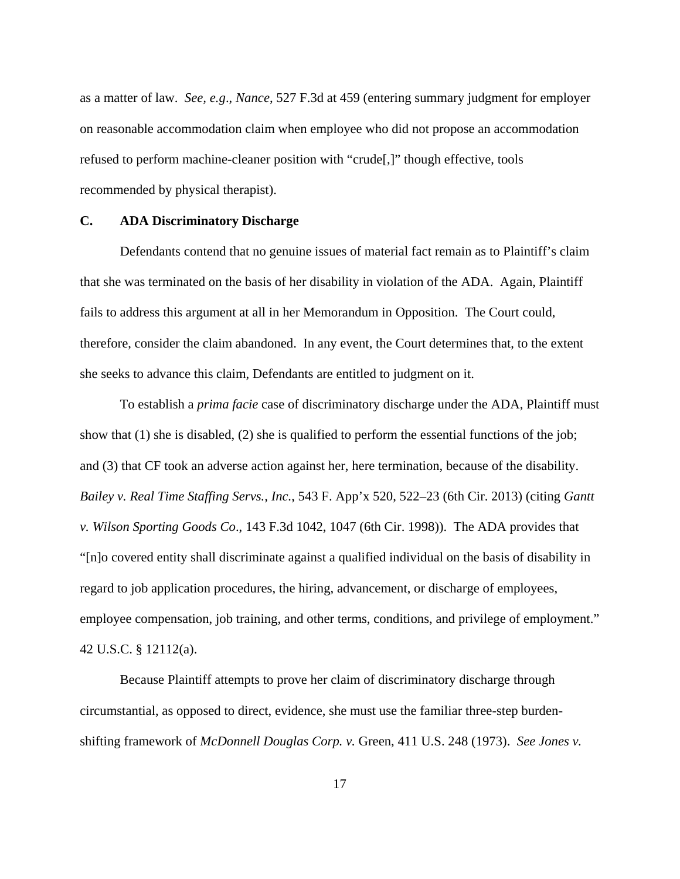as a matter of law. *See, e.g*., *Nance*, 527 F.3d at 459 (entering summary judgment for employer on reasonable accommodation claim when employee who did not propose an accommodation refused to perform machine-cleaner position with "crude[,]" though effective, tools recommended by physical therapist).

#### **C. ADA Discriminatory Discharge**

Defendants contend that no genuine issues of material fact remain as to Plaintiff's claim that she was terminated on the basis of her disability in violation of the ADA. Again, Plaintiff fails to address this argument at all in her Memorandum in Opposition. The Court could, therefore, consider the claim abandoned. In any event, the Court determines that, to the extent she seeks to advance this claim, Defendants are entitled to judgment on it.

To establish a *prima facie* case of discriminatory discharge under the ADA, Plaintiff must show that (1) she is disabled, (2) she is qualified to perform the essential functions of the job; and (3) that CF took an adverse action against her, here termination, because of the disability. *Bailey v. Real Time Staffing Servs., Inc.*, 543 F. App'x 520, 522–23 (6th Cir. 2013) (citing *Gantt v. Wilson Sporting Goods Co*., 143 F.3d 1042, 1047 (6th Cir. 1998)). The ADA provides that "[n]o covered entity shall discriminate against a qualified individual on the basis of disability in regard to job application procedures, the hiring, advancement, or discharge of employees, employee compensation, job training, and other terms, conditions, and privilege of employment." 42 U.S.C. § 12112(a).

Because Plaintiff attempts to prove her claim of discriminatory discharge through circumstantial, as opposed to direct, evidence, she must use the familiar three-step burdenshifting framework of *McDonnell Douglas Corp. v.* Green, 411 U.S. 248 (1973). *See Jones v.*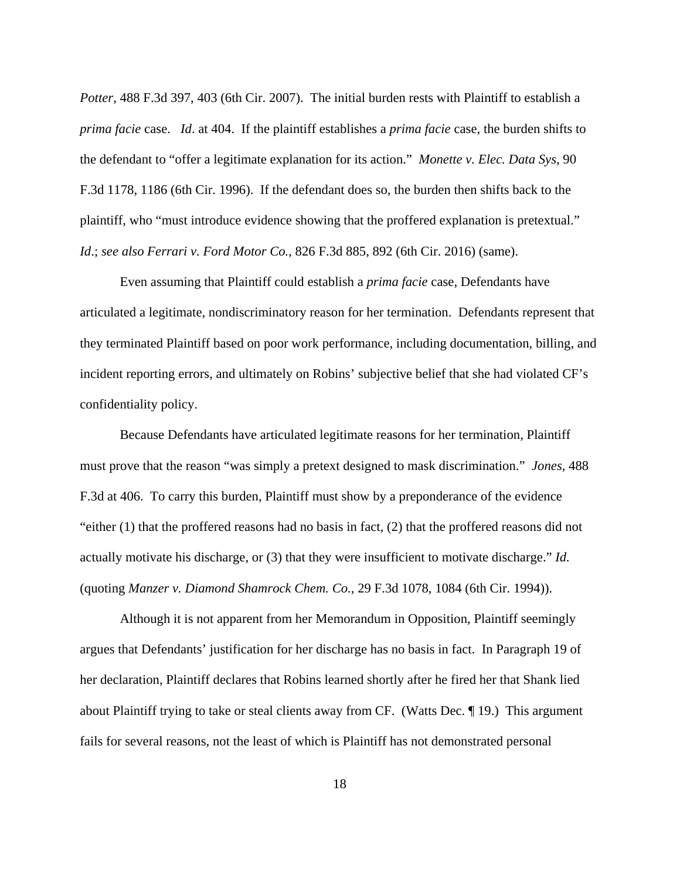*Potter*, 488 F.3d 397, 403 (6th Cir. 2007). The initial burden rests with Plaintiff to establish a *prima facie* case. *Id*. at 404. If the plaintiff establishes a *prima facie* case, the burden shifts to the defendant to "offer a legitimate explanation for its action." *Monette v. Elec. Data Sys*, 90 F.3d 1178, 1186 (6th Cir. 1996). If the defendant does so, the burden then shifts back to the plaintiff, who "must introduce evidence showing that the proffered explanation is pretextual." *Id*.; *see also Ferrari v. Ford Motor Co.*, 826 F.3d 885, 892 (6th Cir. 2016) (same).

Even assuming that Plaintiff could establish a *prima facie* case, Defendants have articulated a legitimate, nondiscriminatory reason for her termination. Defendants represent that they terminated Plaintiff based on poor work performance, including documentation, billing, and incident reporting errors, and ultimately on Robins' subjective belief that she had violated CF's confidentiality policy.

Because Defendants have articulated legitimate reasons for her termination, Plaintiff must prove that the reason "was simply a pretext designed to mask discrimination." *Jones*, 488 F.3d at 406. To carry this burden, Plaintiff must show by a preponderance of the evidence "either (1) that the proffered reasons had no basis in fact, (2) that the proffered reasons did not actually motivate his discharge, or (3) that they were insufficient to motivate discharge." *Id.* (quoting *Manzer v. Diamond Shamrock Chem. Co.*, 29 F.3d 1078, 1084 (6th Cir. 1994)).

Although it is not apparent from her Memorandum in Opposition, Plaintiff seemingly argues that Defendants' justification for her discharge has no basis in fact. In Paragraph 19 of her declaration, Plaintiff declares that Robins learned shortly after he fired her that Shank lied about Plaintiff trying to take or steal clients away from CF. (Watts Dec. ¶ 19.) This argument fails for several reasons, not the least of which is Plaintiff has not demonstrated personal